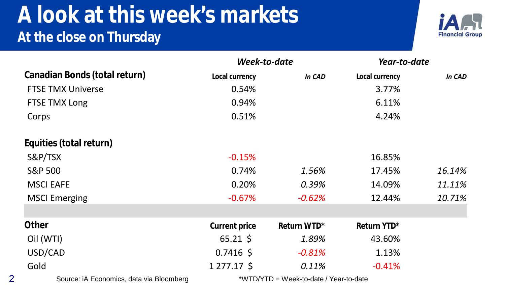#### **A look at this week's markets At the close on Thursday**



|                                          | Week-to-date                           |             | Year-to-date   |        |  |
|------------------------------------------|----------------------------------------|-------------|----------------|--------|--|
| Canadian Bonds (total return)            | Local currency                         | In CAD      | Local currency | In CAD |  |
| <b>FTSE TMX Universe</b>                 | 0.54%                                  |             | 3.77%          |        |  |
| FTSE TMX Long                            | 0.94%                                  |             | 6.11%          |        |  |
| Corps                                    | 0.51%                                  |             | 4.24%          |        |  |
| Equities (total return)                  |                                        |             |                |        |  |
| S&P/TSX                                  | $-0.15%$                               |             | 16.85%         |        |  |
| <b>S&amp;P 500</b>                       | 0.74%                                  | 1.56%       | 17.45%         | 16.14% |  |
| <b>MSCI EAFE</b>                         | 0.20%                                  | 0.39%       | 14.09%         | 11.11% |  |
| <b>MSCI Emerging</b>                     | $-0.67%$                               | $-0.62%$    | 12.44%         | 10.71% |  |
|                                          |                                        |             |                |        |  |
| <b>Other</b>                             | <b>Current price</b>                   | Return WTD* | Return YTD*    |        |  |
| Oil (WTI)                                | $65.21 \text{ }$                       | 1.89%       | 43.60%         |        |  |
| USD/CAD                                  | $0.7416$ \$                            | $-0.81%$    | 1.13%          |        |  |
| Gold                                     | $1277.17 \text{ }$                     | 0.11%       | $-0.41%$       |        |  |
| Source: iA Economics, data via Bloomberg | *WTD/YTD = Week-to-date / Year-to-date |             |                |        |  |

2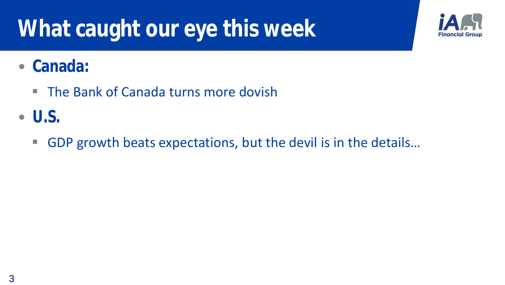## **What caught our eye this week**



#### • **Canada:**

- The Bank of Canada turns more dovish
- **U.S.**
	- GDP growth beats expectations, but the devil is in the details...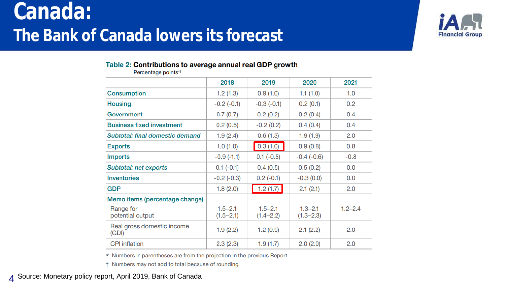## **Canada: The Bank of Canada lowers its forecast**



#### Table 2: Contributions to average annual real GDP growth

Percentage points\*<sup>†</sup>

|                                     | 2018                         | 2019                         | 2020                         | 2021        |
|-------------------------------------|------------------------------|------------------------------|------------------------------|-------------|
| <b>Consumption</b>                  | 1.2(1.3)                     | 0.9(1.0)                     | 1.1(1.0)                     | 1.0         |
| Housing                             | $-0.2$ $(-0.1)$              | $-0.3(-0.1)$                 | 0.2(0.1)                     | 0.2         |
| Government                          | 0.7(0.7)                     | 0.2(0.2)                     | 0.2(0.4)                     | 0.4         |
| <b>Business fixed investment</b>    | 0.2(0.5)                     | $-0.2(0.2)$                  | 0.4(0.4)                     | 0.4         |
| Subtotal: final domestic demand     | 1.9(2.4)                     | 0.6(1.3)                     | 1.9(1.9)                     | 2.0         |
| Exports                             | 1.0(1.0)                     | 0.3(1.0)                     | 0.9(0.8)                     | 0.8         |
| Imports                             | $-0.9(-1.1)$                 | $0.1(-0.5)$                  | $-0.4(-0.6)$                 | $-0.8$      |
| Subtotal: net exports               | $0.1 (-0.1)$                 | 0.4(0.5)                     | 0.5(0.2)                     | 0.0         |
| <b>Inventories</b>                  | $-0.2$ $(-0.3)$              | $0.2(-0.1)$                  | $-0.3(0.0)$                  | 0.0         |
| GDP                                 | 1.8(2.0)                     | 1.2(1.7)                     | 2.1(2.1)                     | 2.0         |
| Memo items (percentage change)      |                              |                              |                              |             |
| Range for<br>potential output       | $1.5 - 2.1$<br>$(1.5 - 2.1)$ | $1.5 - 2.1$<br>$(1.4 - 2.2)$ | $1.3 - 2.1$<br>$(1.3 - 2.3)$ | $1.2 - 2.4$ |
| Real gross domestic income<br>(GDI) | 1.9(2.2)                     | 1.2(0.9)                     | 2.1(2.2)                     | 2.0         |
| <b>CPI</b> inflation                | 2.3(2.3)                     | 1.9(1.7)                     | 2.0(2.0)                     | 2.0         |

\* Numbers in parentheses are from the projection in the previous Report.

† Numbers may not add to total because of rounding.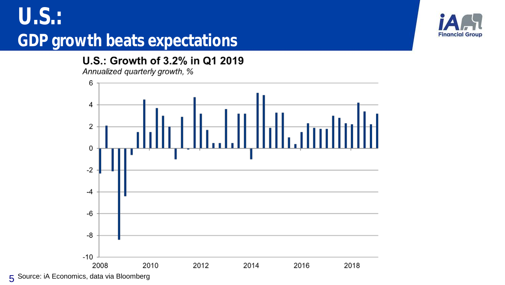### **U.S.: GDP growth beats expectations**

U.S.: Growth of 3.2% in Q1 2019

Annualized quarterly growth, %



**Financial Group** 

5 Source: iA Economics, data via Bloomberg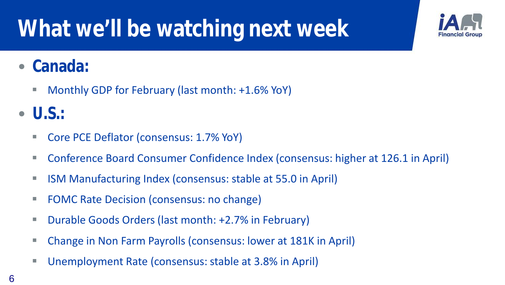## **What we'll be watching next week**



#### • **Canada:**

**Monthly GDP for February (last month: +1.6% YoY)** 

#### • **U.S.:**

- Core PCE Deflator (consensus: 1.7% YoY)
- Conference Board Consumer Confidence Index (consensus: higher at 126.1 in April)
- **ISM Manufacturing Index (consensus: stable at 55.0 in April)**
- **FOMC Rate Decision (consensus: no change)**
- **Durable Goods Orders (last month: +2.7% in February)**
- Change in Non Farm Payrolls (consensus: lower at 181K in April)
- Unemployment Rate (consensus: stable at 3.8% in April)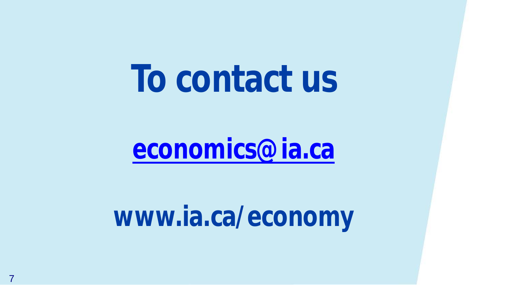# **To contact us**

## **[economics@ia.ca](mailto:economics@ia.ca)**

## **www.ia.ca/economy**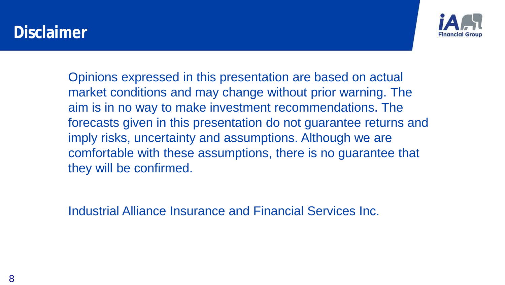#### **Disclaimer**



Opinions expressed in this presentation are based on actual market conditions and may change without prior warning. The aim is in no way to make investment recommendations. The forecasts given in this presentation do not guarantee returns and imply risks, uncertainty and assumptions. Although we are comfortable with these assumptions, there is no guarantee that they will be confirmed.

Industrial Alliance Insurance and Financial Services Inc.